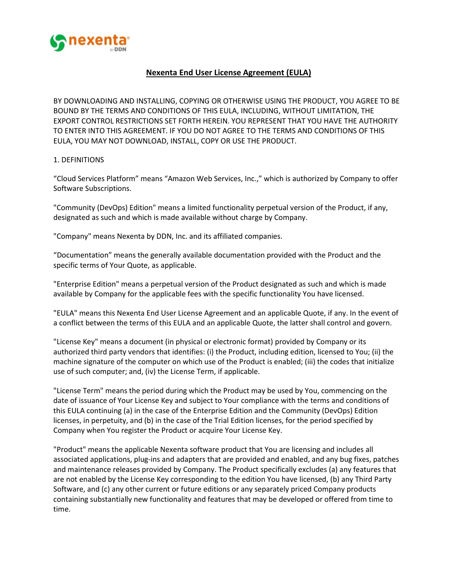

# **Nexenta End User License Agreement (EULA)**

BY DOWNLOADING AND INSTALLING, COPYING OR OTHERWISE USING THE PRODUCT, YOU AGREE TO BE BOUND BY THE TERMS AND CONDITIONS OF THIS EULA, INCLUDING, WITHOUT LIMITATION, THE EXPORT CONTROL RESTRICTIONS SET FORTH HEREIN. YOU REPRESENT THAT YOU HAVE THE AUTHORITY TO ENTER INTO THIS AGREEMENT. IF YOU DO NOT AGREE TO THE TERMS AND CONDITIONS OF THIS EULA, YOU MAY NOT DOWNLOAD, INSTALL, COPY OR USE THE PRODUCT.

## 1. DEFINITIONS

"Cloud Services Platform" means "Amazon Web Services, Inc.," which is authorized by Company to offer Software Subscriptions.

"Community (DevOps) Edition" means a limited functionality perpetual version of the Product, if any, designated as such and which is made available without charge by Company.

"Company" means Nexenta by DDN, Inc. and its affiliated companies.

"Documentation" means the generally available documentation provided with the Product and the specific terms of Your Quote, as applicable.

"Enterprise Edition" means a perpetual version of the Product designated as such and which is made available by Company for the applicable fees with the specific functionality You have licensed.

"EULA" means this Nexenta End User License Agreement and an applicable Quote, if any. In the event of a conflict between the terms of this EULA and an applicable Quote, the latter shall control and govern.

"License Key" means a document (in physical or electronic format) provided by Company or its authorized third party vendors that identifies: (i) the Product, including edition, licensed to You; (ii) the machine signature of the computer on which use of the Product is enabled; (iii) the codes that initialize use of such computer; and, (iv) the License Term, if applicable.

"License Term" means the period during which the Product may be used by You, commencing on the date of issuance of Your License Key and subject to Your compliance with the terms and conditions of this EULA continuing (a) in the case of the Enterprise Edition and the Community (DevOps) Edition licenses, in perpetuity, and (b) in the case of the Trial Edition licenses, for the period specified by Company when You register the Product or acquire Your License Key.

"Product" means the applicable Nexenta software product that You are licensing and includes all associated applications, plug-ins and adapters that are provided and enabled, and any bug fixes, patches and maintenance releases provided by Company. The Product specifically excludes (a) any features that are not enabled by the License Key corresponding to the edition You have licensed, (b) any Third Party Software, and (c) any other current or future editions or any separately priced Company products containing substantially new functionality and features that may be developed or offered from time to time.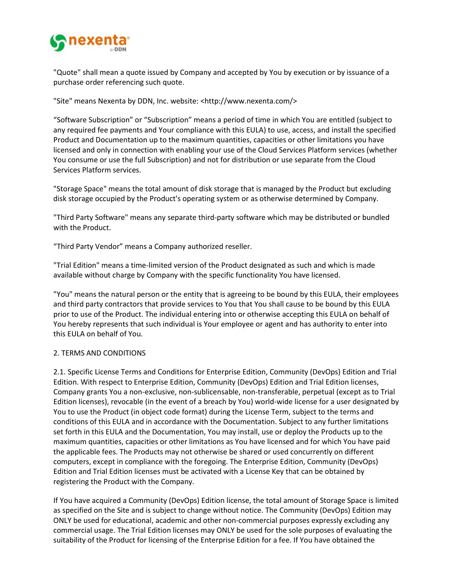

"Quote" shall mean a quote issued by Company and accepted by You by execution or by issuance of a purchase order referencing such quote.

"Site" means Nexenta by DDN, Inc. website: [<http://www.nexenta.com/>](http://www.nexenta.com/)

"Software Subscription" or "Subscription" means a period of time in which You are entitled (subject to any required fee payments and Your compliance with this EULA) to use, access, and install the specified Product and Documentation up to the maximum quantities, capacities or other limitations you have licensed and only in connection with enabling your use of the Cloud Services Platform services (whether You consume or use the full Subscription) and not for distribution or use separate from the Cloud Services Platform services.

"Storage Space" means the total amount of disk storage that is managed by the Product but excluding disk storage occupied by the Product's operating system or as otherwise determined by Company.

"Third Party Software" means any separate third-party software which may be distributed or bundled with the Product.

"Third Party Vendor" means a Company authorized reseller.

"Trial Edition" means a time-limited version of the Product designated as such and which is made available without charge by Company with the specific functionality You have licensed.

"You" means the natural person or the entity that is agreeing to be bound by this EULA, their employees and third party contractors that provide services to You that You shall cause to be bound by this EULA prior to use of the Product. The individual entering into or otherwise accepting this EULA on behalf of You hereby represents that such individual is Your employee or agent and has authority to enter into this EULA on behalf of You.

## 2. TERMS AND CONDITIONS

2.1. Specific License Terms and Conditions for Enterprise Edition, Community (DevOps) Edition and Trial Edition. With respect to Enterprise Edition, Community (DevOps) Edition and Trial Edition licenses, Company grants You a non-exclusive, non-sublicensable, non-transferable, perpetual (except as to Trial Edition licenses), revocable (in the event of a breach by You) world-wide license for a user designated by You to use the Product (in object code format) during the License Term, subject to the terms and conditions of this EULA and in accordance with the Documentation. Subject to any further limitations set forth in this EULA and the Documentation, You may install, use or deploy the Products up to the maximum quantities, capacities or other limitations as You have licensed and for which You have paid the applicable fees. The Products may not otherwise be shared or used concurrently on different computers, except in compliance with the foregoing. The Enterprise Edition, Community (DevOps) Edition and Trial Edition licenses must be activated with a License Key that can be obtained by registering the Product with the Company.

If You have acquired a Community (DevOps) Edition license, the total amount of Storage Space is limited as specified on the Site and is subject to change without notice. The Community (DevOps) Edition may ONLY be used for educational, academic and other non-commercial purposes expressly excluding any commercial usage. The Trial Edition licenses may ONLY be used for the sole purposes of evaluating the suitability of the Product for licensing of the Enterprise Edition for a fee. If You have obtained the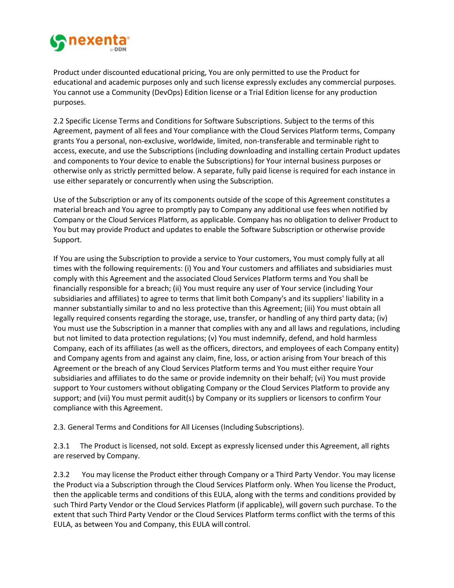

Product under discounted educational pricing, You are only permitted to use the Product for educational and academic purposes only and such license expressly excludes any commercial purposes. You cannot use a Community (DevOps) Edition license or a Trial Edition license for any production purposes.

2.2 Specific License Terms and Conditions for Software Subscriptions. Subject to the terms of this Agreement, payment of all fees and Your compliance with the Cloud Services Platform terms, Company grants You a personal, non-exclusive, worldwide, limited, non-transferable and terminable right to access, execute, and use the Subscriptions (including downloading and installing certain Product updates and components to Your device to enable the Subscriptions) for Your internal business purposes or otherwise only as strictly permitted below. A separate, fully paid license is required for each instance in use either separately or concurrently when using the Subscription.

Use of the Subscription or any of its components outside of the scope of this Agreement constitutes a material breach and You agree to promptly pay to Company any additional use fees when notified by Company or the Cloud Services Platform, as applicable. Company has no obligation to deliver Product to You but may provide Product and updates to enable the Software Subscription or otherwise provide Support.

If You are using the Subscription to provide a service to Your customers, You must comply fully at all times with the following requirements: (i) You and Your customers and affiliates and subsidiaries must comply with this Agreement and the associated Cloud Services Platform terms and You shall be financially responsible for a breach; (ii) You must require any user of Your service (including Your subsidiaries and affiliates) to agree to terms that limit both Company's and its suppliers' liability in a manner substantially similar to and no less protective than this Agreement; (iii) You must obtain all legally required consents regarding the storage, use, transfer, or handling of any third party data; (iv) You must use the Subscription in a manner that complies with any and all laws and regulations, including but not limited to data protection regulations; (v) You must indemnify, defend, and hold harmless Company, each of its affiliates (as well as the officers, directors, and employees of each Company entity) and Company agents from and against any claim, fine, loss, or action arising from Your breach of this Agreement or the breach of any Cloud Services Platform terms and You must either require Your subsidiaries and affiliates to do the same or provide indemnity on their behalf; (vi) You must provide support to Your customers without obligating Company or the Cloud Services Platform to provide any support; and (vii) You must permit audit(s) by Company or its suppliers or licensors to confirm Your compliance with this Agreement.

2.3. General Terms and Conditions for All Licenses (Including Subscriptions).

2.3.1 The Product is licensed, not sold. Except as expressly licensed under this Agreement, all rights are reserved by Company.

2.3.2 You may license the Product either through Company or a Third Party Vendor. You may license the Product via a Subscription through the Cloud Services Platform only. When You license the Product, then the applicable terms and conditions of this EULA, along with the terms and conditions provided by such Third Party Vendor or the Cloud Services Platform (if applicable), will govern such purchase. To the extent that such Third Party Vendor or the Cloud Services Platform terms conflict with the terms of this EULA, as between You and Company, this EULA will control.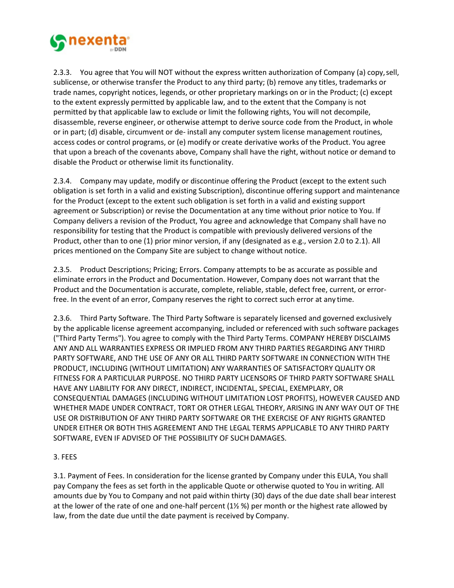

2.3.3. You agree that You will NOT without the express written authorization of Company (a) copy,sell, sublicense, or otherwise transfer the Product to any third party; (b) remove any titles, trademarks or trade names, copyright notices, legends, or other proprietary markings on or in the Product; (c) except to the extent expressly permitted by applicable law, and to the extent that the Company is not permitted by that applicable law to exclude or limit the following rights, You will not decompile, disassemble, reverse engineer, or otherwise attempt to derive source code from the Product, in whole or in part; (d) disable, circumvent or de- install any computer system license management routines, access codes or control programs, or (e) modify or create derivative works of the Product. You agree that upon a breach of the covenants above, Company shall have the right, without notice or demand to disable the Product or otherwise limit its functionality.

2.3.4. Company may update, modify or discontinue offering the Product (except to the extent such obligation is set forth in a valid and existing Subscription), discontinue offering support and maintenance for the Product (except to the extent such obligation is set forth in a valid and existing support agreement or Subscription) or revise the Documentation at any time without prior notice to You. If Company delivers a revision of the Product, You agree and acknowledge that Company shall have no responsibility for testing that the Product is compatible with previously delivered versions of the Product, other than to one (1) prior minor version, if any (designated as e.g., version 2.0 to 2.1). All prices mentioned on the Company Site are subject to change without notice.

2.3.5. Product Descriptions; Pricing; Errors. Company attempts to be as accurate as possible and eliminate errors in the Product and Documentation. However, Company does not warrant that the Product and the Documentation is accurate, complete, reliable, stable, defect free, current, or errorfree. In the event of an error, Company reserves the right to correct such error at any time.

2.3.6. Third Party Software. The Third Party Software is separately licensed and governed exclusively by the applicable license agreement accompanying, included or referenced with such software packages ("Third Party Terms"). You agree to comply with the Third Party Terms. COMPANY HEREBY DISCLAIMS ANY AND ALL WARRANTIES EXPRESS OR IMPLIED FROM ANY THIRD PARTIES REGARDING ANY THIRD PARTY SOFTWARE, AND THE USE OF ANY OR ALL THIRD PARTY SOFTWARE IN CONNECTION WITH THE PRODUCT, INCLUDING (WITHOUT LIMITATION) ANY WARRANTIES OF SATISFACTORY QUALITY OR FITNESS FOR A PARTICULAR PURPOSE. NO THIRD PARTY LICENSORS OF THIRD PARTY SOFTWARE SHALL HAVE ANY LIABILITY FOR ANY DIRECT, INDIRECT, INCIDENTAL, SPECIAL, EXEMPLARY, OR CONSEQUENTIAL DAMAGES (INCLUDING WITHOUT LIMITATION LOST PROFITS), HOWEVER CAUSED AND WHETHER MADE UNDER CONTRACT, TORT OR OTHER LEGAL THEORY, ARISING IN ANY WAY OUT OF THE USE OR DISTRIBUTION OF ANY THIRD PARTY SOFTWARE OR THE EXERCISE OF ANY RIGHTS GRANTED UNDER EITHER OR BOTH THIS AGREEMENT AND THE LEGAL TERMS APPLICABLE TO ANY THIRD PARTY SOFTWARE, EVEN IF ADVISED OF THE POSSIBILITY OF SUCH DAMAGES.

## 3. FEES

3.1. Payment of Fees. In consideration for the license granted by Company under this EULA, You shall pay Company the fees as set forth in the applicable Quote or otherwise quoted to You in writing. All amounts due by You to Company and not paid within thirty (30) days of the due date shall bear interest at the lower of the rate of one and one-half percent (1½ %) per month or the highest rate allowed by law, from the date due until the date payment is received by Company.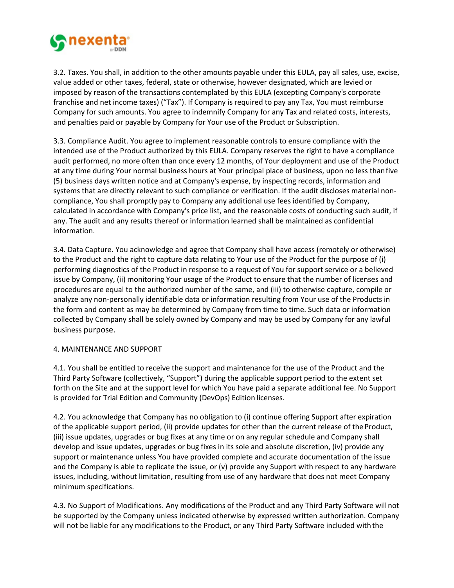

3.2. Taxes. You shall, in addition to the other amounts payable under this EULA, pay all sales, use, excise, value added or other taxes, federal, state or otherwise, however designated, which are levied or imposed by reason of the transactions contemplated by this EULA (excepting Company's corporate franchise and net income taxes) ("Tax"). If Company is required to pay any Tax, You must reimburse Company for such amounts. You agree to indemnify Company for any Tax and related costs, interests, and penalties paid or payable by Company for Your use of the Product or Subscription.

3.3. Compliance Audit. You agree to implement reasonable controls to ensure compliance with the intended use of the Product authorized by this EULA. Company reserves the right to have a compliance audit performed, no more often than once every 12 months, of Your deployment and use of the Product at any time during Your normal business hours at Your principal place of business, upon no less thanfive (5) business days written notice and at Company's expense, by inspecting records, information and systems that are directly relevant to such compliance or verification. If the audit discloses material noncompliance, You shall promptly pay to Company any additional use fees identified by Company, calculated in accordance with Company's price list, and the reasonable costs of conducting such audit, if any. The audit and any results thereof or information learned shall be maintained as confidential information.

3.4. Data Capture. You acknowledge and agree that Company shall have access (remotely or otherwise) to the Product and the right to capture data relating to Your use of the Product for the purpose of (i) performing diagnostics of the Product in response to a request of You for support service or a believed issue by Company, (ii) monitoring Your usage of the Product to ensure that the number of licenses and procedures are equal to the authorized number of the same, and (iii) to otherwise capture, compile or analyze any non-personally identifiable data or information resulting from Your use of the Products in the form and content as may be determined by Company from time to time. Such data or information collected by Company shall be solely owned by Company and may be used by Company for any lawful business purpose.

## 4. MAINTENANCE AND SUPPORT

4.1. You shall be entitled to receive the support and maintenance for the use of the Product and the Third Party Software (collectively, "Support") during the applicable support period to the extent set forth on the Site and at the support level for which You have paid a separate additional fee. No Support is provided for Trial Edition and Community (DevOps) Edition licenses.

4.2. You acknowledge that Company has no obligation to (i) continue offering Support after expiration of the applicable support period, (ii) provide updates for other than the current release of theProduct, (iii) issue updates, upgrades or bug fixes at any time or on any regular schedule and Company shall develop and issue updates, upgrades or bug fixes in its sole and absolute discretion, (iv) provide any support or maintenance unless You have provided complete and accurate documentation of the issue and the Company is able to replicate the issue, or (v) provide any Support with respect to any hardware issues, including, without limitation, resulting from use of any hardware that does not meet Company minimum specifications.

4.3. No Support of Modifications. Any modifications of the Product and any Third Party Software willnot be supported by the Company unless indicated otherwise by expressed written authorization. Company will not be liable for any modifications to the Product, or any Third Party Software included with the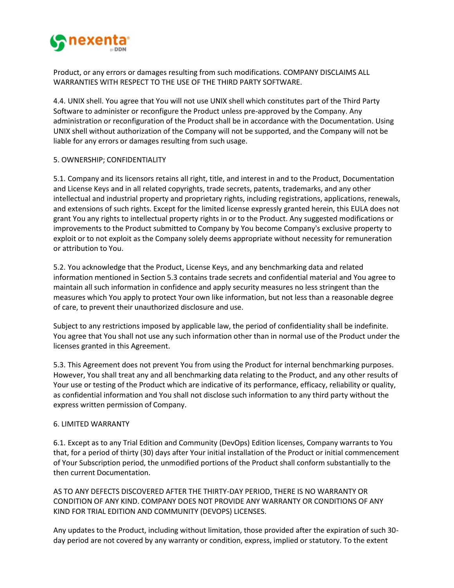

Product, or any errors or damages resulting from such modifications. COMPANY DISCLAIMS ALL WARRANTIES WITH RESPECT TO THE USE OF THE THIRD PARTY SOFTWARE.

4.4. UNIX shell. You agree that You will not use UNIX shell which constitutes part of the Third Party Software to administer or reconfigure the Product unless pre-approved by the Company. Any administration or reconfiguration of the Product shall be in accordance with the Documentation. Using UNIX shell without authorization of the Company will not be supported, and the Company will not be liable for any errors or damages resulting from such usage.

### 5. OWNERSHIP; CONFIDENTIALITY

5.1. Company and its licensors retains all right, title, and interest in and to the Product, Documentation and License Keys and in all related copyrights, trade secrets, patents, trademarks, and any other intellectual and industrial property and proprietary rights, including registrations, applications, renewals, and extensions of such rights. Except for the limited license expressly granted herein, this EULA does not grant You any rights to intellectual property rights in or to the Product. Any suggested modifications or improvements to the Product submitted to Company by You become Company's exclusive property to exploit or to not exploit as the Company solely deems appropriate without necessity for remuneration or attribution to You.

5.2. You acknowledge that the Product, License Keys, and any benchmarking data and related information mentioned in Section 5.3 contains trade secrets and confidential material and You agree to maintain all such information in confidence and apply security measures no less stringent than the measures which You apply to protect Your own like information, but not less than a reasonable degree of care, to prevent their unauthorized disclosure and use.

Subject to any restrictions imposed by applicable law, the period of confidentiality shall be indefinite. You agree that You shall not use any such information other than in normal use of the Product under the licenses granted in this Agreement.

5.3. This Agreement does not prevent You from using the Product for internal benchmarking purposes. However, You shall treat any and all benchmarking data relating to the Product, and any other results of Your use or testing of the Product which are indicative of its performance, efficacy, reliability or quality, as confidential information and You shall not disclose such information to any third party without the express written permission of Company.

#### 6. LIMITED WARRANTY

6.1. Except as to any Trial Edition and Community (DevOps) Edition licenses, Company warrants to You that, for a period of thirty (30) days after Your initial installation of the Product or initial commencement of Your Subscription period, the unmodified portions of the Product shall conform substantially to the then current Documentation.

AS TO ANY DEFECTS DISCOVERED AFTER THE THIRTY-DAY PERIOD, THERE IS NO WARRANTY OR CONDITION OF ANY KIND. COMPANY DOES NOT PROVIDE ANY WARRANTY OR CONDITIONS OF ANY KIND FOR TRIAL EDITION AND COMMUNITY (DEVOPS) LICENSES.

Any updates to the Product, including without limitation, those provided after the expiration of such 30 day period are not covered by any warranty or condition, express, implied or statutory. To the extent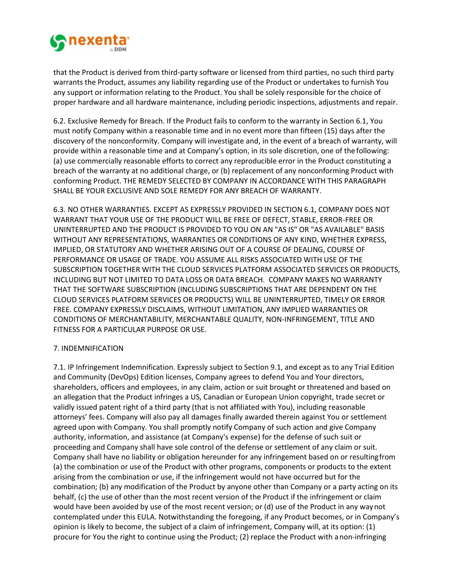

that the Product is derived from third-party software or licensed from third parties, no such third party warrants the Product, assumes any liability regarding use of the Product or undertakes to furnish You any support or information relating to the Product. You shall be solely responsible for the choice of proper hardware and all hardware maintenance, including periodic inspections, adjustments and repair.

6.2. Exclusive Remedy for Breach. If the Product fails to conform to the warranty in Section 6.1, You must notify Company within a reasonable time and in no event more than fifteen (15) days after the discovery of the nonconformity. Company will investigate and, in the event of a breach of warranty, will provide within a reasonable time and at Company's option, in its sole discretion, one of the following: (a) use commercially reasonable efforts to correct any reproducible error in the Product constituting a breach of the warranty at no additional charge, or (b) replacement of any nonconforming Product with conforming Product. THE REMEDY SELECTED BY COMPANY IN ACCORDANCE WITH THIS PARAGRAPH SHALL BE YOUR EXCLUSIVE AND SOLE REMEDY FOR ANY BREACH OF WARRANTY.

6.3. NO OTHER WARRANTIES. EXCEPT AS EXPRESSLY PROVIDED IN SECTION 6.1, COMPANY DOES NOT WARRANT THAT YOUR USE OF THE PRODUCT WILL BE FREE OF DEFECT, STABLE, ERROR-FREE OR UNINTERRUPTED AND THE PRODUCT IS PROVIDED TO YOU ON AN "AS IS" OR "AS AVAILABLE" BASIS WITHOUT ANY REPRESENTATIONS, WARRANTIES OR CONDITIONS OF ANY KIND, WHETHER EXPRESS, IMPLIED, OR STATUTORY AND WHETHER ARISING OUT OF A COURSE OF DEALING, COURSE OF PERFORMANCE OR USAGE OF TRADE. YOU ASSUME ALL RISKS ASSOCIATED WITH USE OF THE SUBSCRIPTION TOGETHER WITH THE CLOUD SERVICES PLATFORM ASSOCIATED SERVICES OR PRODUCTS, INCLUDING BUT NOT LIMITED TO DATA LOSS OR DATA BREACH. COMPANY MAKES NO WARRANTY THAT THE SOFTWARE SUBSCRIPTION (INCLUDING SUBSCRIPTIONS THAT ARE DEPENDENT ON THE CLOUD SERVICES PLATFORM SERVICES OR PRODUCTS) WILL BE UNINTERRUPTED, TIMELY OR ERROR FREE. COMPANY EXPRESSLY DISCLAIMS, WITHOUT LIMITATION, ANY IMPLIED WARRANTIES OR CONDITIONS OF MERCHANTABILITY, MERCHANTABLE QUALITY, NON-INFRINGEMENT, TITLE AND FITNESS FOR A PARTICULAR PURPOSE OR USE.

## 7. INDEMNIFICATION

7.1. IP Infringement Indemnification. Expressly subject to Section 9.1, and except as to any Trial Edition and Community (DevOps) Edition licenses, Company agrees to defend You and Your directors, shareholders, officers and employees, in any claim, action or suit brought or threatened and based on an allegation that the Product infringes a US, Canadian or European Union copyright, trade secret or validly issued patent right of a third party (that is not affiliated with You), including reasonable attorneys' fees. Company will also pay all damages finally awarded therein against You or settlement agreed upon with Company. You shall promptly notify Company of such action and give Company authority, information, and assistance (at Company's expense) for the defense of such suit or proceeding and Company shall have sole control of the defense or settlement of any claim or suit. Company shall have no liability or obligation hereunder for any infringement based on or resultingfrom (a) the combination or use of the Product with other programs, components or products to the extent arising from the combination or use, if the infringement would not have occurred but for the combination; (b) any modification of the Product by anyone other than Company or a party acting on its behalf, (c) the use of other than the most recent version of the Product if the infringement or claim would have been avoided by use of the most recent version; or (d) use of the Product in any waynot contemplated under this EULA. Notwithstanding the foregoing, if any Product becomes, or in Company's opinion is likely to become, the subject of a claim of infringement, Company will, at its option: (1) procure for You the right to continue using the Product; (2) replace the Product with anon-infringing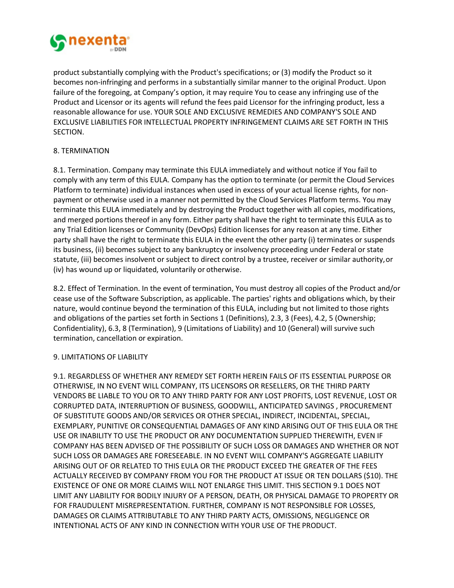

product substantially complying with the Product's specifications; or (3) modify the Product so it becomes non-infringing and performs in a substantially similar manner to the original Product. Upon failure of the foregoing, at Company's option, it may require You to cease any infringing use of the Product and Licensor or its agents will refund the fees paid Licensor for the infringing product, less a reasonable allowance for use. YOUR SOLE AND EXCLUSIVE REMEDIES AND COMPANY'S SOLE AND EXCLUSIVE LIABILITIES FOR INTELLECTUAL PROPERTY INFRINGEMENT CLAIMS ARE SET FORTH IN THIS SECTION.

# 8. TERMINATION

8.1. Termination. Company may terminate this EULA immediately and without notice if You fail to comply with any term of this EULA. Company has the option to terminate (or permit the Cloud Services Platform to terminate) individual instances when used in excess of your actual license rights, for nonpayment or otherwise used in a manner not permitted by the Cloud Services Platform terms. You may terminate this EULA immediately and by destroying the Product together with all copies, modifications, and merged portions thereof in any form. Either party shall have the right to terminate this EULA as to any Trial Edition licenses or Community (DevOps) Edition licenses for any reason at any time. Either party shall have the right to terminate this EULA in the event the other party (i) terminates or suspends its business, (ii) becomes subject to any bankruptcy or insolvency proceeding under Federal or state statute, (iii) becomes insolvent or subject to direct control by a trustee, receiver or similar authority,or (iv) has wound up or liquidated, voluntarily or otherwise.

8.2. Effect of Termination. In the event of termination, You must destroy all copies of the Product and/or cease use of the Software Subscription, as applicable. The parties' rights and obligations which, by their nature, would continue beyond the termination of this EULA, including but not limited to those rights and obligations of the parties set forth in Sections 1 (Definitions), 2.3, 3 (Fees), 4.2, 5 (Ownership; Confidentiality), 6.3, 8 (Termination), 9 (Limitations of Liability) and 10 (General) will survive such termination, cancellation or expiration.

## 9. LIMITATIONS OF LIABILITY

9.1. REGARDLESS OF WHETHER ANY REMEDY SET FORTH HEREIN FAILS OF ITS ESSENTIAL PURPOSE OR OTHERWISE, IN NO EVENT WILL COMPANY, ITS LICENSORS OR RESELLERS, OR THE THIRD PARTY VENDORS BE LIABLE TO YOU OR TO ANY THIRD PARTY FOR ANY LOST PROFITS, LOST REVENUE, LOST OR CORRUPTED DATA, INTERRUPTION OF BUSINESS, GOODWILL, ANTICIPATED SAVINGS , PROCUREMENT OF SUBSTITUTE GOODS AND/OR SERVICES OR OTHER SPECIAL, INDIRECT, INCIDENTAL, SPECIAL, EXEMPLARY, PUNITIVE OR CONSEQUENTIAL DAMAGES OF ANY KIND ARISING OUT OF THIS EULA OR THE USE OR INABILITY TO USE THE PRODUCT OR ANY DOCUMENTATION SUPPLIED THEREWITH, EVEN IF COMPANY HAS BEEN ADVISED OF THE POSSIBILITY OF SUCH LOSS OR DAMAGES AND WHETHER OR NOT SUCH LOSS OR DAMAGES ARE FORESEEABLE. IN NO EVENT WILL COMPANY'S AGGREGATE LIABILITY ARISING OUT OF OR RELATED TO THIS EULA OR THE PRODUCT EXCEED THE GREATER OF THE FEES ACTUALLY RECEIVED BY COMPANY FROM YOU FOR THE PRODUCT AT ISSUE OR TEN DOLLARS (\$10). THE EXISTENCE OF ONE OR MORE CLAIMS WILL NOT ENLARGE THIS LIMIT. THIS SECTION 9.1 DOES NOT LIMIT ANY LIABILITY FOR BODILY INJURY OF A PERSON, DEATH, OR PHYSICAL DAMAGE TO PROPERTY OR FOR FRAUDULENT MISREPRESENTATION. FURTHER, COMPANY IS NOT RESPONSIBLE FOR LOSSES, DAMAGES OR CLAIMS ATTRIBUTABLE TO ANY THIRD PARTY ACTS, OMISSIONS, NEGLIGENCE OR INTENTIONAL ACTS OF ANY KIND IN CONNECTION WITH YOUR USE OF THE PRODUCT.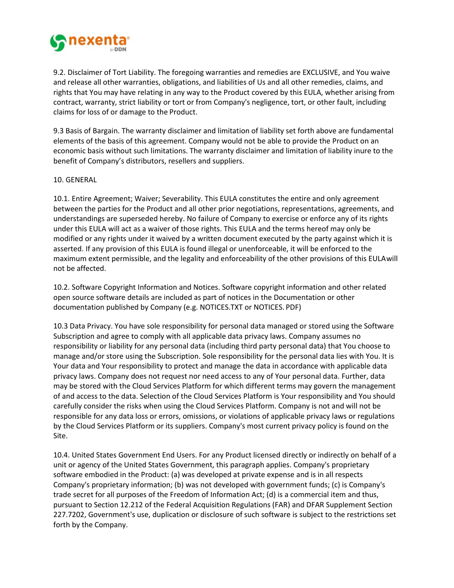

9.2. Disclaimer of Tort Liability. The foregoing warranties and remedies are EXCLUSIVE, and You waive and release all other warranties, obligations, and liabilities of Us and all other remedies, claims, and rights that You may have relating in any way to the Product covered by this EULA, whether arising from contract, warranty, strict liability or tort or from Company's negligence, tort, or other fault, including claims for loss of or damage to the Product.

9.3 Basis of Bargain. The warranty disclaimer and limitation of liability set forth above are fundamental elements of the basis of this agreement. Company would not be able to provide the Product on an economic basis without such limitations. The warranty disclaimer and limitation of liability inure to the benefit of Company's distributors, resellers and suppliers.

### 10. GENERAL

10.1. Entire Agreement; Waiver; Severability. This EULA constitutes the entire and only agreement between the parties for the Product and all other prior negotiations, representations, agreements, and understandings are superseded hereby. No failure of Company to exercise or enforce any of its rights under this EULA will act as a waiver of those rights. This EULA and the terms hereof may only be modified or any rights under it waived by a written document executed by the party against which it is asserted. If any provision of this EULA is found illegal or unenforceable, it will be enforced to the maximum extent permissible, and the legality and enforceability of the other provisions of this EULAwill not be affected.

10.2. Software Copyright Information and Notices. Software copyright information and other related open source software details are included as part of notices in the Documentation or other documentation published by Company (e.g. NOTICES.TXT or NOTICES. PDF)

10.3 Data Privacy. You have sole responsibility for personal data managed or stored using the Software Subscription and agree to comply with all applicable data privacy laws. Company assumes no responsibility or liability for any personal data (including third party personal data) that You choose to manage and/or store using the Subscription. Sole responsibility for the personal data lies with You. It is Your data and Your responsibility to protect and manage the data in accordance with applicable data privacy laws. Company does not request nor need access to any of Your personal data. Further, data may be stored with the Cloud Services Platform for which different terms may govern the management of and access to the data. Selection of the Cloud Services Platform is Your responsibility and You should carefully consider the risks when using the Cloud Services Platform. Company is not and will not be responsible for any data loss or errors, omissions, or violations of applicable privacy laws or regulations by the Cloud Services Platform or its suppliers. Company's most current privacy policy is found on the Site.

10.4. United States Government End Users. For any Product licensed directly or indirectly on behalf of a unit or agency of the United States Government, this paragraph applies. Company's proprietary software embodied in the Product: (a) was developed at private expense and is in all respects Company's proprietary information; (b) was not developed with government funds; (c) is Company's trade secret for all purposes of the Freedom of Information Act; (d) is a commercial item and thus, pursuant to Section 12.212 of the Federal Acquisition Regulations (FAR) and DFAR Supplement Section 227.7202, Government's use, duplication or disclosure of such software is subject to the restrictions set forth by the Company.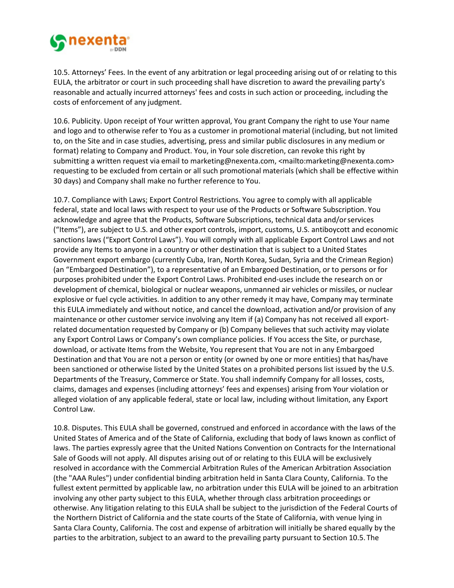

10.5. Attorneys' Fees. In the event of any arbitration or legal proceeding arising out of or relating to this EULA, the arbitrator or court in such proceeding shall have discretion to award the prevailing party's reasonable and actually incurred attorneys' fees and costs in such action or proceeding, including the costs of enforcement of any judgment.

10.6. Publicity. Upon receipt of Your written approval, You grant Company the right to use Your name and logo and to otherwise refer to You as a customer in promotional material (including, but not limited to, on the Site and in case studies, advertising, press and similar public disclosures in any medium or format) relating to Company and Product. You, in Your sole discretion, can revoke this right by submitting a written request via email t[o marketing@nexenta.com,](mailto:marketing@nexenta.com) [<mailto:marketing@nexenta.com>](mailto:marketing@nexenta.com) requesting to be excluded from certain or all such promotional materials (which shall be effective within 30 days) and Company shall make no further reference to You.

10.7. Compliance with Laws; Export Control Restrictions. You agree to comply with all applicable federal, state and local laws with respect to your use of the Products or Software Subscription. You acknowledge and agree that the Products, Software Subscriptions, technical data and/orservices ("Items"), are subject to U.S. and other export controls, import, customs, U.S. antiboycott and economic sanctions laws ("Export Control Laws"). You will comply with all applicable Export Control Laws and not provide any Items to anyone in a country or other destination that is subject to a United States Government export embargo (currently Cuba, Iran, North Korea, Sudan, Syria and the Crimean Region) (an "Embargoed Destination"), to a representative of an Embargoed Destination, or to persons or for purposes prohibited under the Export Control Laws. Prohibited end-uses include the research on or development of chemical, biological or nuclear weapons, unmanned air vehicles or missiles, or nuclear explosive or fuel cycle activities. In addition to any other remedy it may have, Company may terminate this EULA immediately and without notice, and cancel the download, activation and/or provision of any maintenance or other customer service involving any Item if (a) Company has not received all exportrelated documentation requested by Company or (b) Company believes that such activity may violate any Export Control Laws or Company's own compliance policies. If You access the Site, or purchase, download, or activate Items from the Website, You represent that You are not in any Embargoed Destination and that You are not a person or entity (or owned by one or more entities) that has/have been sanctioned or otherwise listed by the United States on a prohibited persons list issued by the U.S. Departments of the Treasury, Commerce or State. You shall indemnify Company for all losses, costs, claims, damages and expenses (including attorneys' fees and expenses) arising from Your violation or alleged violation of any applicable federal, state or local law, including without limitation, any Export Control Law.

10.8. Disputes. This EULA shall be governed, construed and enforced in accordance with the laws of the United States of America and of the State of California, excluding that body of laws known as conflict of laws. The parties expressly agree that the United Nations Convention on Contracts for the International Sale of Goods will not apply. All disputes arising out of or relating to this EULA will be exclusively resolved in accordance with the Commercial Arbitration Rules of the American Arbitration Association (the "AAA Rules") under confidential binding arbitration held in Santa Clara County, California. To the fullest extent permitted by applicable law, no arbitration under this EULA will be joined to an arbitration involving any other party subject to this EULA, whether through class arbitration proceedings or otherwise. Any litigation relating to this EULA shall be subject to the jurisdiction of the Federal Courts of the Northern District of California and the state courts of the State of California, with venue lying in Santa Clara County, California. The cost and expense of arbitration will initially be shared equally by the parties to the arbitration, subject to an award to the prevailing party pursuant to Section 10.5. The